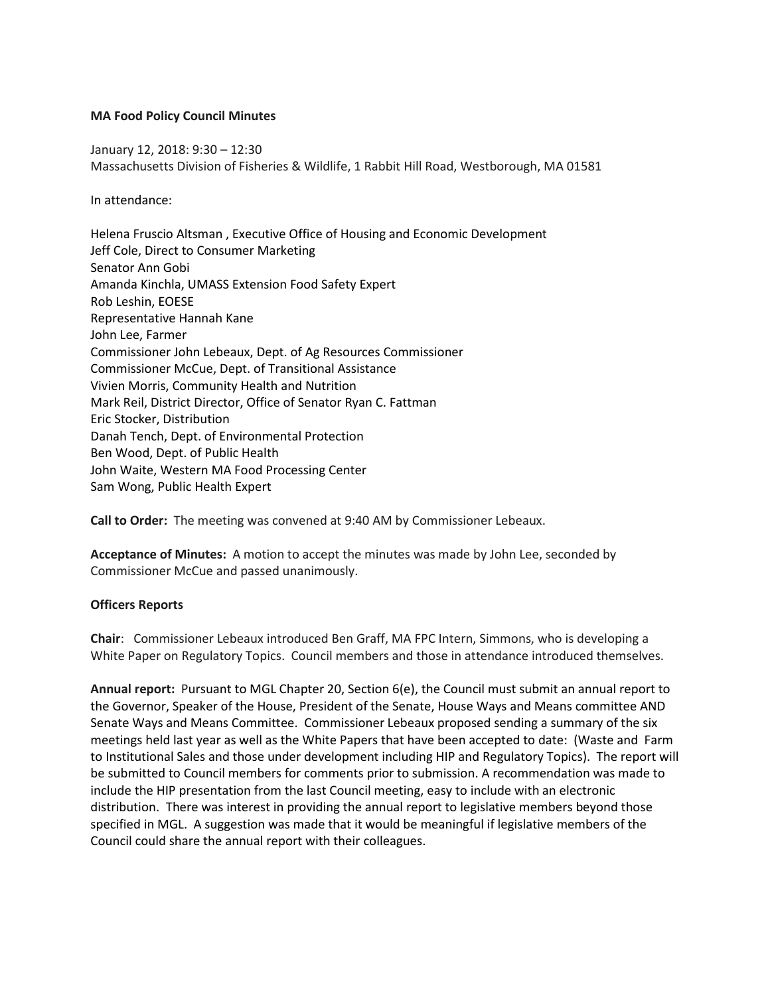#### **MA Food Policy Council Minutes**

January 12, 2018: 9:30 – 12:30 Massachusetts Division of Fisheries & Wildlife, 1 Rabbit Hill Road, Westborough, MA 01581

In attendance:

Helena Fruscio Altsman , Executive Office of Housing and Economic Development Jeff Cole, Direct to Consumer Marketing Senator Ann Gobi Amanda Kinchla, UMASS Extension Food Safety Expert Rob Leshin, EOESE Representative Hannah Kane John Lee, Farmer Commissioner John Lebeaux, Dept. of Ag Resources Commissioner Commissioner McCue, Dept. of Transitional Assistance Vivien Morris, Community Health and Nutrition Mark Reil, District Director, Office of Senator Ryan C. Fattman Eric Stocker, Distribution Danah Tench, Dept. of Environmental Protection Ben Wood, Dept. of Public Health John Waite, Western MA Food Processing Center Sam Wong, Public Health Expert

**Call to Order:** The meeting was convened at 9:40 AM by Commissioner Lebeaux.

**Acceptance of Minutes:** A motion to accept the minutes was made by John Lee, seconded by Commissioner McCue and passed unanimously.

## **Officers Reports**

**Chair**: Commissioner Lebeaux introduced Ben Graff, MA FPC Intern, Simmons, who is developing a White Paper on Regulatory Topics. Council members and those in attendance introduced themselves.

**Annual report:** Pursuant to MGL Chapter 20, Section 6(e), the Council must submit an annual report to the Governor, Speaker of the House, President of the Senate, House Ways and Means committee AND Senate Ways and Means Committee. Commissioner Lebeaux proposed sending a summary of the six meetings held last year as well as the White Papers that have been accepted to date: (Waste and Farm to Institutional Sales and those under development including HIP and Regulatory Topics). The report will be submitted to Council members for comments prior to submission. A recommendation was made to include the HIP presentation from the last Council meeting, easy to include with an electronic distribution. There was interest in providing the annual report to legislative members beyond those specified in MGL. A suggestion was made that it would be meaningful if legislative members of the Council could share the annual report with their colleagues.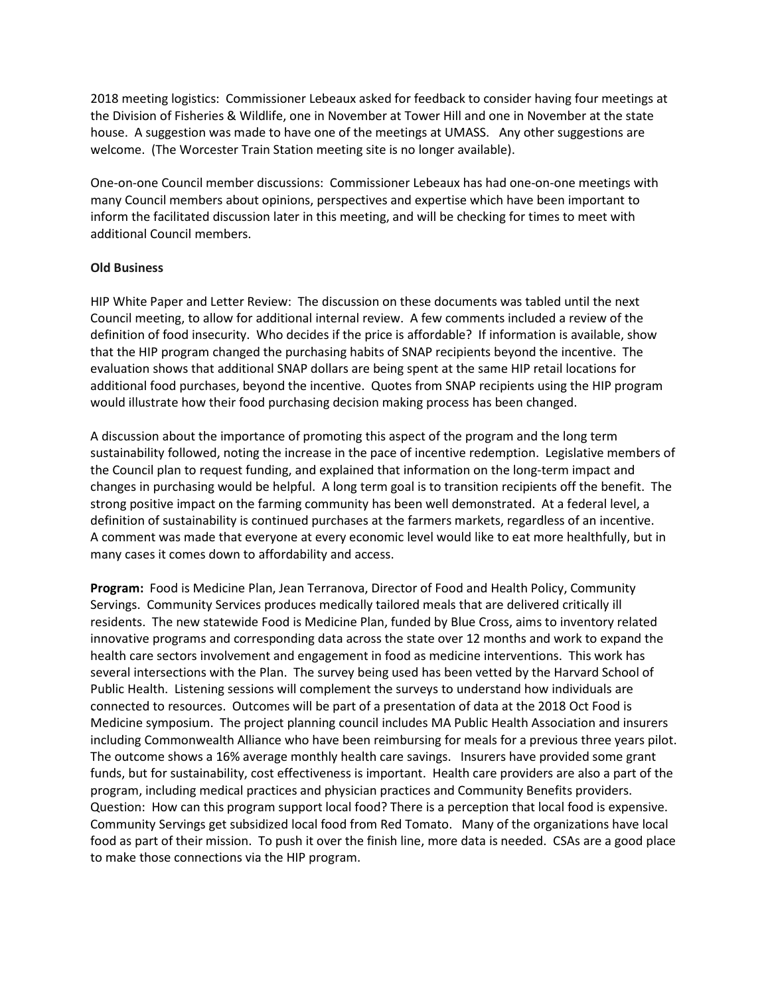2018 meeting logistics: Commissioner Lebeaux asked for feedback to consider having four meetings at the Division of Fisheries & Wildlife, one in November at Tower Hill and one in November at the state house. A suggestion was made to have one of the meetings at UMASS. Any other suggestions are welcome. (The Worcester Train Station meeting site is no longer available).

One-on-one Council member discussions: Commissioner Lebeaux has had one-on-one meetings with many Council members about opinions, perspectives and expertise which have been important to inform the facilitated discussion later in this meeting, and will be checking for times to meet with additional Council members.

#### **Old Business**

HIP White Paper and Letter Review: The discussion on these documents was tabled until the next Council meeting, to allow for additional internal review. A few comments included a review of the definition of food insecurity. Who decides if the price is affordable? If information is available, show that the HIP program changed the purchasing habits of SNAP recipients beyond the incentive. The evaluation shows that additional SNAP dollars are being spent at the same HIP retail locations for additional food purchases, beyond the incentive. Quotes from SNAP recipients using the HIP program would illustrate how their food purchasing decision making process has been changed.

A discussion about the importance of promoting this aspect of the program and the long term sustainability followed, noting the increase in the pace of incentive redemption. Legislative members of the Council plan to request funding, and explained that information on the long-term impact and changes in purchasing would be helpful. A long term goal is to transition recipients off the benefit. The strong positive impact on the farming community has been well demonstrated. At a federal level, a definition of sustainability is continued purchases at the farmers markets, regardless of an incentive. A comment was made that everyone at every economic level would like to eat more healthfully, but in many cases it comes down to affordability and access.

**Program:** Food is Medicine Plan, Jean Terranova, Director of Food and Health Policy, Community Servings. Community Services produces medically tailored meals that are delivered critically ill residents. The new statewide Food is Medicine Plan, funded by Blue Cross, aims to inventory related innovative programs and corresponding data across the state over 12 months and work to expand the health care sectors involvement and engagement in food as medicine interventions. This work has several intersections with the Plan. The survey being used has been vetted by the Harvard School of Public Health. Listening sessions will complement the surveys to understand how individuals are connected to resources. Outcomes will be part of a presentation of data at the 2018 Oct Food is Medicine symposium. The project planning council includes MA Public Health Association and insurers including Commonwealth Alliance who have been reimbursing for meals for a previous three years pilot. The outcome shows a 16% average monthly health care savings. Insurers have provided some grant funds, but for sustainability, cost effectiveness is important. Health care providers are also a part of the program, including medical practices and physician practices and Community Benefits providers. Question: How can this program support local food? There is a perception that local food is expensive. Community Servings get subsidized local food from Red Tomato. Many of the organizations have local food as part of their mission. To push it over the finish line, more data is needed. CSAs are a good place to make those connections via the HIP program.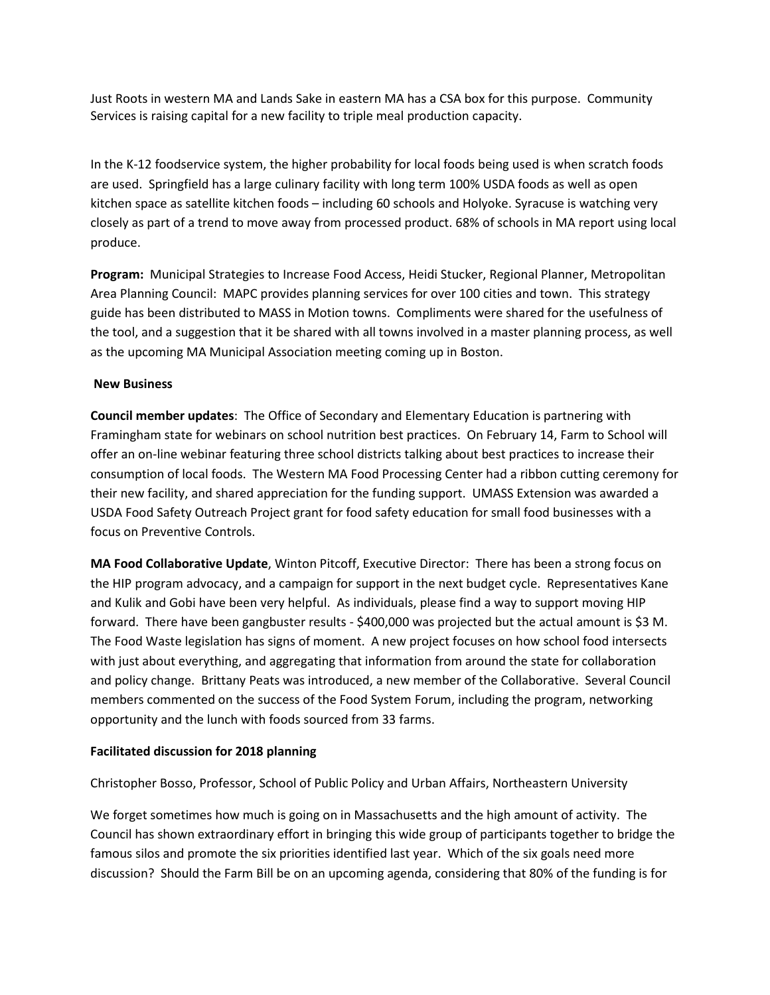Just Roots in western MA and Lands Sake in eastern MA has a CSA box for this purpose. Community Services is raising capital for a new facility to triple meal production capacity.

In the K-12 foodservice system, the higher probability for local foods being used is when scratch foods are used. Springfield has a large culinary facility with long term 100% USDA foods as well as open kitchen space as satellite kitchen foods – including 60 schools and Holyoke. Syracuse is watching very closely as part of a trend to move away from processed product. 68% of schools in MA report using local produce.

**Program:** Municipal Strategies to Increase Food Access, Heidi Stucker, Regional Planner, Metropolitan Area Planning Council: MAPC provides planning services for over 100 cities and town. This strategy guide has been distributed to MASS in Motion towns. Compliments were shared for the usefulness of the tool, and a suggestion that it be shared with all towns involved in a master planning process, as well as the upcoming MA Municipal Association meeting coming up in Boston.

## **New Business**

**Council member updates**: The Office of Secondary and Elementary Education is partnering with Framingham state for webinars on school nutrition best practices. On February 14, Farm to School will offer an on-line webinar featuring three school districts talking about best practices to increase their consumption of local foods. The Western MA Food Processing Center had a ribbon cutting ceremony for their new facility, and shared appreciation for the funding support. UMASS Extension was awarded a USDA Food Safety Outreach Project grant for food safety education for small food businesses with a focus on Preventive Controls.

**MA Food Collaborative Update**, Winton Pitcoff, Executive Director: There has been a strong focus on the HIP program advocacy, and a campaign for support in the next budget cycle. Representatives Kane and Kulik and Gobi have been very helpful. As individuals, please find a way to support moving HIP forward. There have been gangbuster results - \$400,000 was projected but the actual amount is \$3 M. The Food Waste legislation has signs of moment. A new project focuses on how school food intersects with just about everything, and aggregating that information from around the state for collaboration and policy change. Brittany Peats was introduced, a new member of the Collaborative. Several Council members commented on the success of the Food System Forum, including the program, networking opportunity and the lunch with foods sourced from 33 farms.

## **Facilitated discussion for 2018 planning**

Christopher Bosso, Professor, School of Public Policy and Urban Affairs, Northeastern University

We forget sometimes how much is going on in Massachusetts and the high amount of activity. The Council has shown extraordinary effort in bringing this wide group of participants together to bridge the famous silos and promote the six priorities identified last year. Which of the six goals need more discussion? Should the Farm Bill be on an upcoming agenda, considering that 80% of the funding is for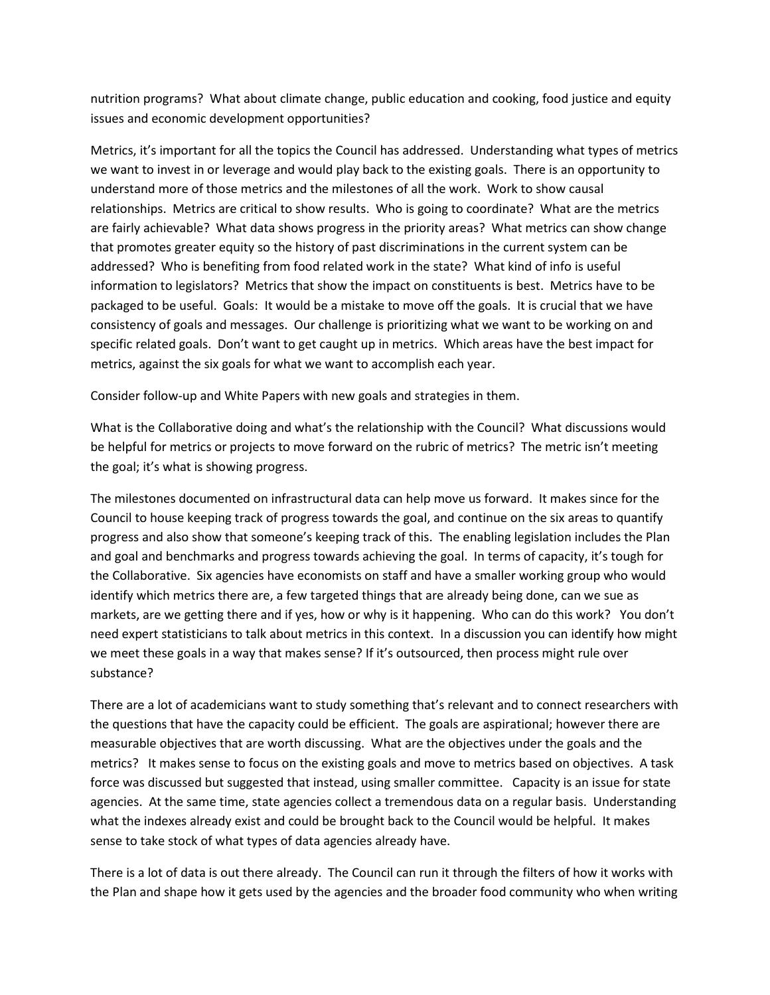nutrition programs? What about climate change, public education and cooking, food justice and equity issues and economic development opportunities?

Metrics, it's important for all the topics the Council has addressed. Understanding what types of metrics we want to invest in or leverage and would play back to the existing goals. There is an opportunity to understand more of those metrics and the milestones of all the work. Work to show causal relationships. Metrics are critical to show results. Who is going to coordinate? What are the metrics are fairly achievable? What data shows progress in the priority areas? What metrics can show change that promotes greater equity so the history of past discriminations in the current system can be addressed? Who is benefiting from food related work in the state? What kind of info is useful information to legislators? Metrics that show the impact on constituents is best. Metrics have to be packaged to be useful. Goals: It would be a mistake to move off the goals. It is crucial that we have consistency of goals and messages. Our challenge is prioritizing what we want to be working on and specific related goals. Don't want to get caught up in metrics. Which areas have the best impact for metrics, against the six goals for what we want to accomplish each year.

Consider follow-up and White Papers with new goals and strategies in them.

What is the Collaborative doing and what's the relationship with the Council? What discussions would be helpful for metrics or projects to move forward on the rubric of metrics? The metric isn't meeting the goal; it's what is showing progress.

The milestones documented on infrastructural data can help move us forward. It makes since for the Council to house keeping track of progress towards the goal, and continue on the six areas to quantify progress and also show that someone's keeping track of this. The enabling legislation includes the Plan and goal and benchmarks and progress towards achieving the goal. In terms of capacity, it's tough for the Collaborative. Six agencies have economists on staff and have a smaller working group who would identify which metrics there are, a few targeted things that are already being done, can we sue as markets, are we getting there and if yes, how or why is it happening. Who can do this work? You don't need expert statisticians to talk about metrics in this context. In a discussion you can identify how might we meet these goals in a way that makes sense? If it's outsourced, then process might rule over substance?

There are a lot of academicians want to study something that's relevant and to connect researchers with the questions that have the capacity could be efficient. The goals are aspirational; however there are measurable objectives that are worth discussing. What are the objectives under the goals and the metrics? It makes sense to focus on the existing goals and move to metrics based on objectives. A task force was discussed but suggested that instead, using smaller committee. Capacity is an issue for state agencies. At the same time, state agencies collect a tremendous data on a regular basis. Understanding what the indexes already exist and could be brought back to the Council would be helpful. It makes sense to take stock of what types of data agencies already have.

There is a lot of data is out there already. The Council can run it through the filters of how it works with the Plan and shape how it gets used by the agencies and the broader food community who when writing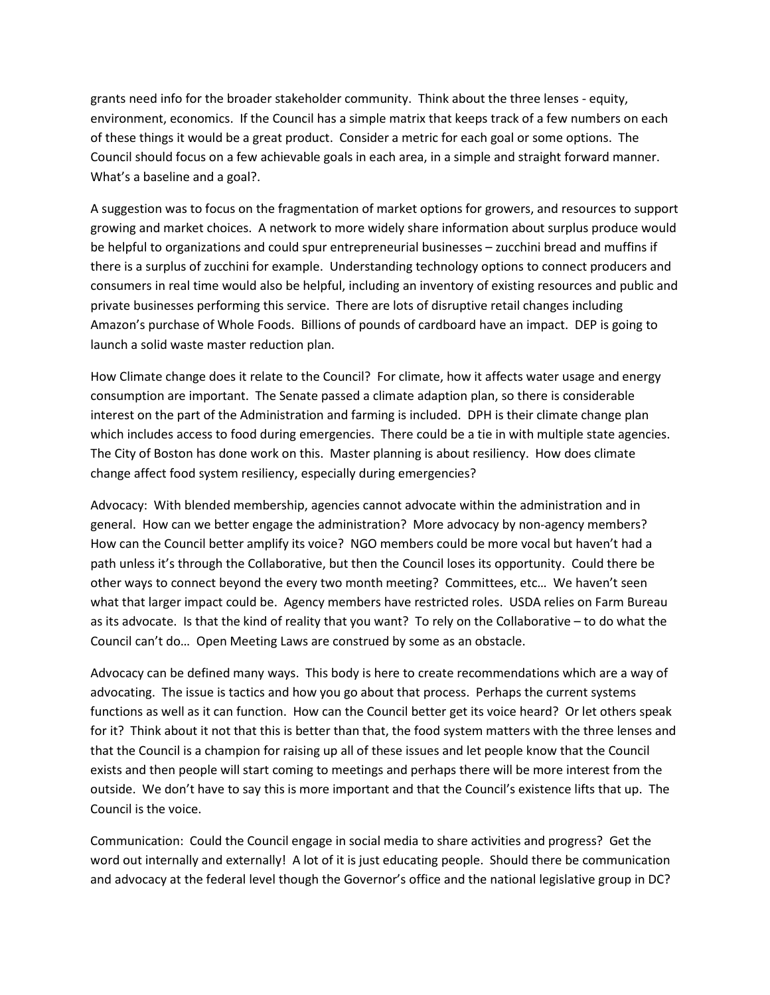grants need info for the broader stakeholder community. Think about the three lenses - equity, environment, economics. If the Council has a simple matrix that keeps track of a few numbers on each of these things it would be a great product. Consider a metric for each goal or some options. The Council should focus on a few achievable goals in each area, in a simple and straight forward manner. What's a baseline and a goal?.

A suggestion was to focus on the fragmentation of market options for growers, and resources to support growing and market choices. A network to more widely share information about surplus produce would be helpful to organizations and could spur entrepreneurial businesses – zucchini bread and muffins if there is a surplus of zucchini for example. Understanding technology options to connect producers and consumers in real time would also be helpful, including an inventory of existing resources and public and private businesses performing this service. There are lots of disruptive retail changes including Amazon's purchase of Whole Foods. Billions of pounds of cardboard have an impact. DEP is going to launch a solid waste master reduction plan.

How Climate change does it relate to the Council? For climate, how it affects water usage and energy consumption are important. The Senate passed a climate adaption plan, so there is considerable interest on the part of the Administration and farming is included. DPH is their climate change plan which includes access to food during emergencies. There could be a tie in with multiple state agencies. The City of Boston has done work on this. Master planning is about resiliency. How does climate change affect food system resiliency, especially during emergencies?

Advocacy: With blended membership, agencies cannot advocate within the administration and in general. How can we better engage the administration? More advocacy by non-agency members? How can the Council better amplify its voice? NGO members could be more vocal but haven't had a path unless it's through the Collaborative, but then the Council loses its opportunity. Could there be other ways to connect beyond the every two month meeting? Committees, etc… We haven't seen what that larger impact could be. Agency members have restricted roles. USDA relies on Farm Bureau as its advocate. Is that the kind of reality that you want? To rely on the Collaborative – to do what the Council can't do… Open Meeting Laws are construed by some as an obstacle.

Advocacy can be defined many ways. This body is here to create recommendations which are a way of advocating. The issue is tactics and how you go about that process. Perhaps the current systems functions as well as it can function. How can the Council better get its voice heard? Or let others speak for it? Think about it not that this is better than that, the food system matters with the three lenses and that the Council is a champion for raising up all of these issues and let people know that the Council exists and then people will start coming to meetings and perhaps there will be more interest from the outside. We don't have to say this is more important and that the Council's existence lifts that up. The Council is the voice.

Communication: Could the Council engage in social media to share activities and progress? Get the word out internally and externally! A lot of it is just educating people. Should there be communication and advocacy at the federal level though the Governor's office and the national legislative group in DC?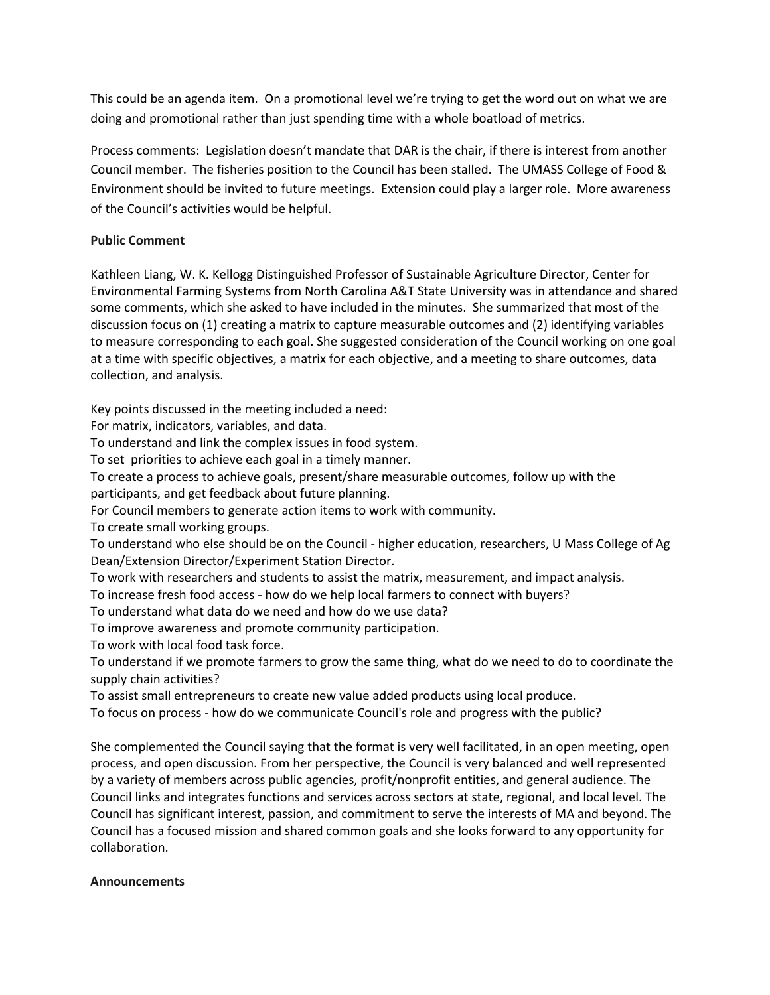This could be an agenda item. On a promotional level we're trying to get the word out on what we are doing and promotional rather than just spending time with a whole boatload of metrics.

Process comments: Legislation doesn't mandate that DAR is the chair, if there is interest from another Council member. The fisheries position to the Council has been stalled. The UMASS College of Food & Environment should be invited to future meetings. Extension could play a larger role. More awareness of the Council's activities would be helpful.

# **Public Comment**

Kathleen Liang, W. K. Kellogg Distinguished Professor of Sustainable Agriculture Director, Center for Environmental Farming Systems from North Carolina A&T State University was in attendance and shared some comments, which she asked to have included in the minutes. She summarized that most of the discussion focus on (1) creating a matrix to capture measurable outcomes and (2) identifying variables to measure corresponding to each goal. She suggested consideration of the Council working on one goal at a time with specific objectives, a matrix for each objective, and a meeting to share outcomes, data collection, and analysis.

Key points discussed in the meeting included a need:

For matrix, indicators, variables, and data.

To understand and link the complex issues in food system.

To set priorities to achieve each goal in a timely manner.

To create a process to achieve goals, present/share measurable outcomes, follow up with the

participants, and get feedback about future planning.

For Council members to generate action items to work with community.

To create small working groups.

To understand who else should be on the Council - higher education, researchers, U Mass College of Ag Dean/Extension Director/Experiment Station Director.

To work with researchers and students to assist the matrix, measurement, and impact analysis.

To increase fresh food access - how do we help local farmers to connect with buyers?

To understand what data do we need and how do we use data?

To improve awareness and promote community participation.

To work with local food task force.

To understand if we promote farmers to grow the same thing, what do we need to do to coordinate the supply chain activities?

To assist small entrepreneurs to create new value added products using local produce.

To focus on process - how do we communicate Council's role and progress with the public?

She complemented the Council saying that the format is very well facilitated, in an open meeting, open process, and open discussion. From her perspective, the Council is very balanced and well represented by a variety of members across public agencies, profit/nonprofit entities, and general audience. The Council links and integrates functions and services across sectors at state, regional, and local level. The Council has significant interest, passion, and commitment to serve the interests of MA and beyond. The Council has a focused mission and shared common goals and she looks forward to any opportunity for collaboration.

## **Announcements**